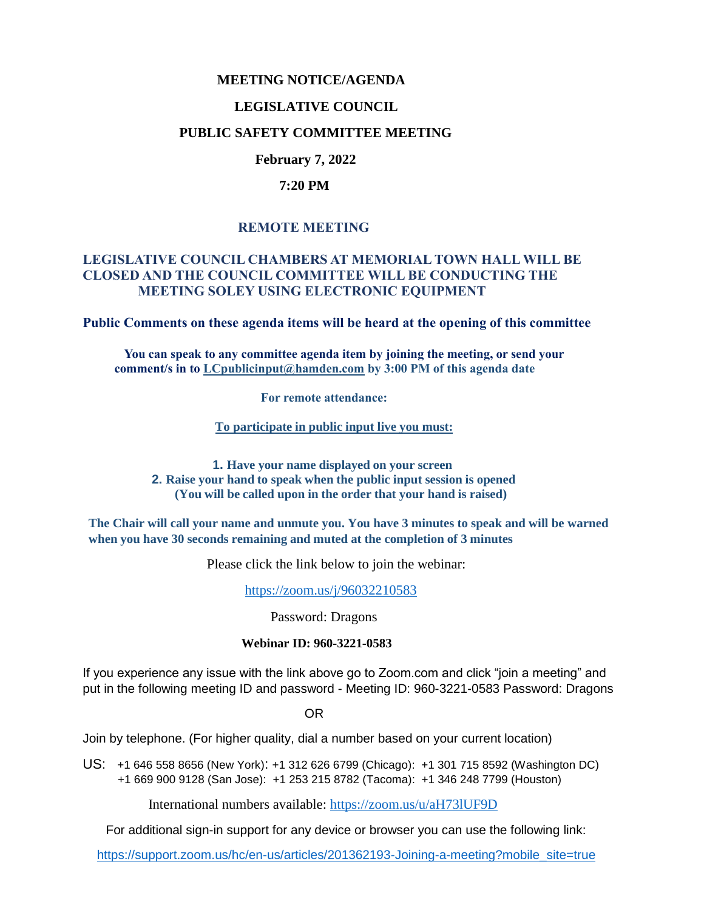#### **MEETING NOTICE/AGENDA**

## **LEGISLATIVE COUNCIL**

## **PUBLIC SAFETY COMMITTEE MEETING**

# **February 7, 2022**

#### **7:20 PM**

# **REMOTE MEETING**

## **LEGISLATIVE COUNCIL CHAMBERS AT MEMORIAL TOWN HALL WILL BE CLOSED AND THE COUNCIL COMMITTEE WILL BE CONDUCTING THE MEETING SOLEY USING ELECTRONIC EQUIPMENT**

**Public Comments on these agenda items will be heard at the opening of this committee** 

 **You can speak to any committee agenda item by joining the meeting, or send your comment/s in to [LCpublicinput@hamden.com](mailto:LCpublicinput@hamden.com) by 3:00 PM of this agenda date**

 **For remote attendance:**

**To participate in public input live you must:**

**1. Have your name displayed on your screen 2. Raise your hand to speak when the public input session is opened (You will be called upon in the order that your hand is raised)**

**The Chair will call your name and unmute you. You have 3 minutes to speak and will be warned when you have 30 seconds remaining and muted at the completion of 3 minutes**

Please click the link below to join the webinar:

<https://zoom.us/j/96032210583>

Password: Dragons

#### **Webinar ID: 960-3221-0583**

If you experience any issue with the link above go to Zoom.com and click "join a meeting" and put in the following meeting ID and password - Meeting ID: 960-3221-0583 Password: Dragons

OR

Join by telephone. (For higher quality, dial a number based on your current location)

US: [+1 646 558 8656 \(New York\)](tel:+16465588656): [+1 312 626 6799 \(Chicago\):](tel:+13126266799) [+1 301 715 8592 \(Washington DC\)](tel:+13017158592) +1 669 900 9128 (San Jose): [+1 253 215 8782 \(Tacoma\):](tel:+12532158782) [+1 346 248 7799 \(Houston\)](tel:+13462487799)

International numbers available:<https://zoom.us/u/aH73lUF9D>

For additional sign-in support for any device or browser you can use the following link:

[https://support.zoom.us/hc/en-us/articles/201362193-Joining-a-meeting?mobile\\_site=true](https://support.zoom.us/hc/en-us/articles/201362193-Joining-a-meeting?mobile_site=true)